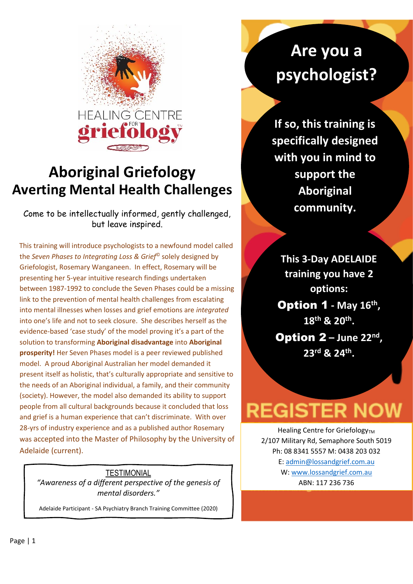

### **Aboriginal Griefology Averting Mental Health Challenges**

Come to be intellectually informed, gently challenged, but leave inspired.

This training will introduce psychologists to a newfound model called the *Seven Phases to Integrating Loss & Grief*© solely designed by Griefologist, Rosemary Wanganeen. In effect, Rosemary will be presenting her 5-year intuitive research findings undertaken between 1987-1992 to conclude the Seven Phases could be a missing link to the prevention of mental health challenges from escalating into mental illnesses when losses and grief emotions are *integrated*  into one's life and not to seek closure. She describes herself as the evidence-based 'case study' of the model proving it's a part of the solution to transforming **Aboriginal disadvantage** into **Aboriginal prosperity!** Her Seven Phases model is a peer reviewed published model. A proud Aboriginal Australian her model demanded it present itself as holistic, that's culturally appropriate and sensitive to the needs of an Aboriginal individual, a family, and their community (society). However, the model also demanded its ability to support people from all cultural backgrounds because it concluded that loss and grief is a human experience that can't discriminate. With over 28-yrs of industry experience and as a published author Rosemary was accepted into the Master of Philosophy by the University of Adelaide (current).

#### **TESTIMONIAL**

*"Awareness of a different perspective of the genesis of mental disorders."*

Adelaide Participant - SA Psychiatry Branch Training Committee (2020)

## **Are you a psychologist?**

**If so, this training is specifically designed with you in mind to support the Aboriginal community.**

**This 3-Day ADELAIDE training you have 2 options:**

Option 1 **- May 16th , 18th & 20th .**

**Option**  $2 - \text{June } 22^{\text{nd}}$ **, 23 rd & 24th .**

# **REGISTER NOW**

Healing Centre for Griefology<sub>TM</sub> 2/107 Military Rd, Semaphore South 5019 Ph: 08 8341 5557 M: 0438 203 032 E: [admin@lossandgrief.com.au](mailto:admin@lossandgrief.com.au) W: [www.lossandgrief.com.au](http://www.lossandgrief.com.au/) ABN: 117 236 736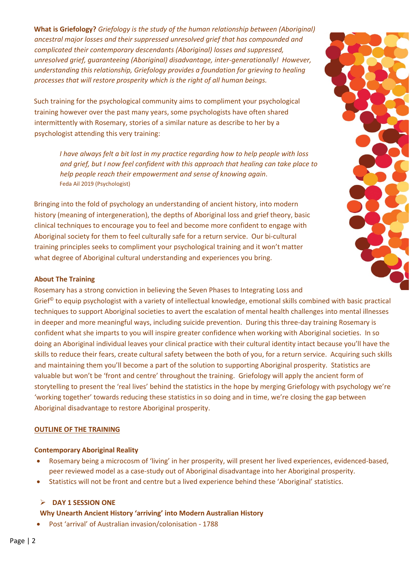**What is Griefology?** *Griefology is the study of the human relationship between (Aboriginal) ancestral major losses and their suppressed unresolved grief that has compounded and complicated their contemporary descendants (Aboriginal) losses and suppressed, unresolved grief, guaranteeing (Aboriginal) disadvantage, inter-generationally! However, understanding this relationship, Griefology provides a foundation for grieving to healing processes that will restore prosperity which is the right of all human beings.*

Such training for the psychological community aims to compliment your psychological training however over the past many years, some psychologists have often shared intermittently with Rosemary, stories of a similar nature as describe to her by a psychologist attending this very training:

*I have always felt a bit lost in my practice regarding how to help people with loss and grief, but I now feel confident with this approach that healing can take place to help people reach their empowerment and sense of knowing again*. Feda Ail 2019 (Psychologist)

Bringing into the fold of psychology an understanding of ancient history, into modern history (meaning of intergeneration), the depths of Aboriginal loss and grief theory, basic clinical techniques to encourage you to feel and become more confident to engage with Aboriginal society for them to feel culturally safe for a return service. Our bi-cultural training principles seeks to compliment your psychological training and it won't matter what degree of Aboriginal cultural understanding and experiences you bring.

#### **About The Training**

Rosemary has a strong conviction in believing the Seven Phases to Integrating Loss and

Grief<sup>®</sup> to equip psychologist with a variety of intellectual knowledge, emotional skills combined with basic practical techniques to support Aboriginal societies to avert the escalation of mental health challenges into mental illnesses in deeper and more meaningful ways, including suicide prevention. During this three-day training Rosemary is confident what she imparts to you will inspire greater confidence when working with Aboriginal societies. In so doing an Aboriginal individual leaves your clinical practice with their cultural identity intact because you'll have the skills to reduce their fears, create cultural safety between the both of you, for a return service. Acquiring such skills and maintaining them you'll become a part of the solution to supporting Aboriginal prosperity. Statistics are valuable but won't be 'front and centre' throughout the training. Griefology will apply the ancient form of storytelling to present the 'real lives' behind the statistics in the hope by merging Griefology with psychology we're 'working together' towards reducing these statistics in so doing and in time, we're closing the gap between Aboriginal disadvantage to restore Aboriginal prosperity.

#### **OUTLINE OF THE TRAINING**

#### **Contemporary Aboriginal Reality**

- Rosemary being a microcosm of 'living' in her prosperity, will present her lived experiences, evidenced-based, peer reviewed model as a case-study out of Aboriginal disadvantage into her Aboriginal prosperity.
- Statistics will not be front and centre but a lived experience behind these 'Aboriginal' statistics.

#### ➢ **DAY 1 SESSION ONE**

#### **Why Unearth Ancient History 'arriving' into Modern Australian History**

• Post 'arrival' of Australian invasion/colonisation - 1788

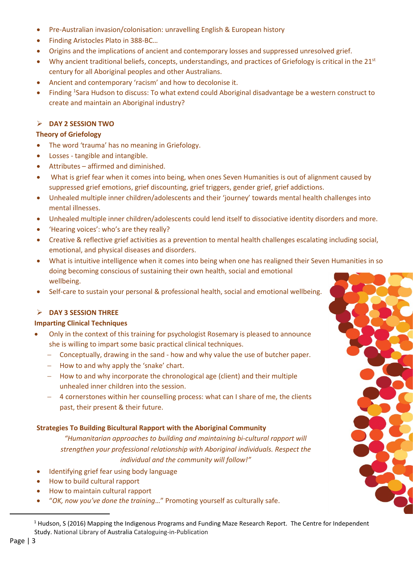- Pre-Australian invasion/colonisation: unravelling English & European history
- Finding Aristocles Plato in 388-BC…
- Origins and the implications of ancient and contemporary losses and suppressed unresolved grief.
- Why ancient traditional beliefs, concepts, understandings, and practices of Griefology is critical in the  $21<sup>st</sup>$ century for all Aboriginal peoples and other Australians.
- Ancient and contemporary 'racism' and how to decolonise it.
- Finding <sup>1</sup>Sara Hudson to discuss: To what extend could Aboriginal disadvantage be a western construct to create and maintain an Aboriginal industry?

#### ➢ **DAY 2 SESSION TWO**

#### **Theory of Griefology**

- The word 'trauma' has no meaning in Griefology.
- Losses tangible and intangible.
- Attributes affirmed and diminished.
- What is grief fear when it comes into being, when ones Seven Humanities is out of alignment caused by suppressed grief emotions, grief discounting, grief triggers, gender grief, grief addictions.
- Unhealed multiple inner children/adolescents and their 'journey' towards mental health challenges into mental illnesses.
- Unhealed multiple inner children/adolescents could lend itself to dissociative identity disorders and more.
- 'Hearing voices': who's are they really?
- Creative & reflective grief activities as a prevention to mental health challenges escalating including social, emotional, and physical diseases and disorders.
- What is intuitive intelligence when it comes into being when one has realigned their Seven Humanities in so doing becoming conscious of sustaining their own health, social and emotional wellbeing.
- Self-care to sustain your personal & professional health, social and emotional wellbeing.

#### ➢ **DAY 3 SESSION THREE**

#### **Imparting Clinical Techniques**

- Only in the context of this training for psychologist Rosemary is pleased to announce she is willing to impart some basic practical clinical techniques.
	- − Conceptually, drawing in the sand how and why value the use of butcher paper.
	- − How to and why apply the 'snake' chart.
	- − How to and why incorporate the chronological age (client) and their multiple unhealed inner children into the session.
	- − 4 cornerstones within her counselling process: what can I share of me, the clients past, their present & their future.

#### **Strategies To Building Bicultural Rapport with the Aboriginal Community**

*"Humanitarian approaches to building and maintaining bi-cultural rapport will strengthen your professional relationship with Aboriginal individuals. Respect the individual and the community will follow!"*

- Identifying grief fear using body language
- How to build cultural rapport
- How to maintain cultural rapport
- "*OK, now you've done the training*…" Promoting yourself as culturally safe.

<sup>&</sup>lt;sup>1</sup> Hudson, S (2016) Mapping the Indigenous Programs and Funding Maze Research Report. The Centre for Independent Study. National Library of Australia Cataloguing-in-Publication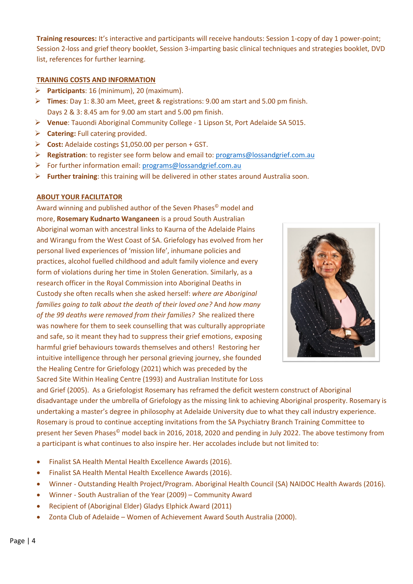**Training resources:** It's interactive and participants will receive handouts: Session 1-copy of day 1 power-point; Session 2-loss and grief theory booklet, Session 3-imparting basic clinical techniques and strategies booklet, DVD list, references for further learning.

#### **TRAINING COSTS AND INFORMATION**

- ➢ **Participants**: 16 (minimum), 20 (maximum).
- ➢ **Times**: Day 1: 8.30 am Meet, greet & registrations: 9.00 am start and 5.00 pm finish. Days 2 & 3: 8.45 am for 9.00 am start and 5.00 pm finish.
- ➢ **Venue**: Tauondi Aboriginal Community College 1 Lipson St, Port Adelaide SA 5015.
- ➢ **Catering:** Full catering provided.
- ➢ **Cost:** Adelaide costings \$1,050.00 per person + GST.
- ➢ **Registration**: to register see form below and email to: [programs@lossandgrief.com.au](mailto:programs@lossandgrief.com.au)
- ➢ For further information email: [programs@lossandgrief.com.au](mailto:programs@lossandgrief.com.au)
- ➢ **Further training**: this training will be delivered in other states around Australia soon.

#### **ABOUT YOUR FACILITATOR**

Award winning and published author of the Seven Phases<sup>®</sup> model and more, **Rosemary Kudnarto Wanganeen** is a proud South Australian Aboriginal woman with ancestral links to Kaurna of the Adelaide Plains and Wirangu from the West Coast of SA. Griefology has evolved from her personal lived experiences of 'mission life', inhumane policies and practices, alcohol fuelled childhood and adult family violence and every form of violations during her time in Stolen Generation. Similarly, as a research officer in the Royal Commission into Aboriginal Deaths in Custody she often recalls when she asked herself: *where are Aboriginal families going to talk about the death of their loved one?* And *how many of the 99 deaths were removed from their families?* She realized there was nowhere for them to seek counselling that was culturally appropriate and safe, so it meant they had to suppress their grief emotions, exposing harmful grief behaviours towards themselves and others! Restoring her intuitive intelligence through her personal grieving journey, she founded the Healing Centre for Griefology (2021) which was preceded by the Sacred Site Within Healing Centre (1993) and Australian Institute for Loss



and Grief (2005). As a Griefologist Rosemary has reframed the deficit western construct of Aboriginal disadvantage under the umbrella of Griefology as the missing link to achieving Aboriginal prosperity. Rosemary is undertaking a master's degree in philosophy at Adelaide University due to what they call industry experience. Rosemary is proud to continue accepting invitations from the SA Psychiatry Branch Training Committee to present her Seven Phases© model back in 2016, 2018, 2020 and pending in July 2022. The above testimony from a participant is what continues to also inspire her. Her accolades include but not limited to:

- Finalist SA Health Mental Health Excellence Awards (2016).
- Finalist SA Health Mental Health Excellence Awards (2016).
- Winner Outstanding Health Project/Program. Aboriginal Health Council (SA) NAIDOC Health Awards (2016).
- Winner South Australian of the Year (2009) Community Award
- Recipient of (Aboriginal Elder) Gladys Elphick Award (2011)
- Zonta Club of Adelaide Women of Achievement Award South Australia (2000).